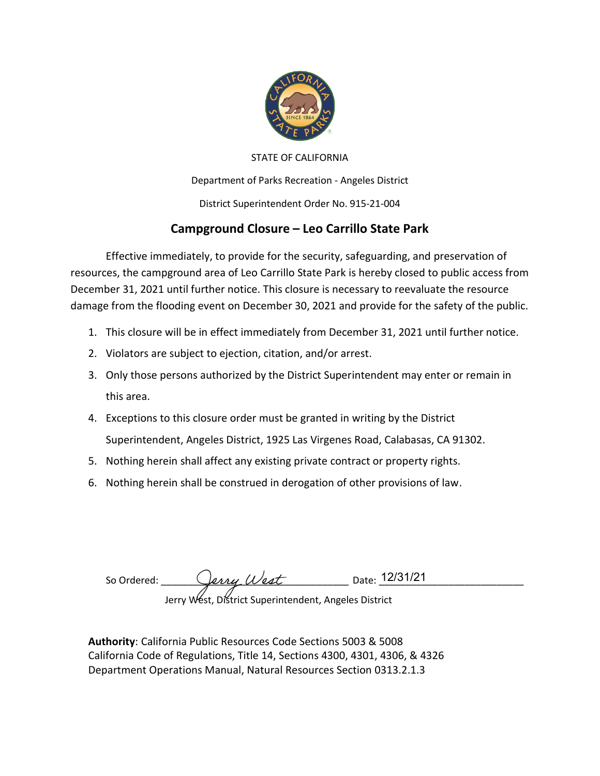

#### STATE OF CALIFORNIA

Department of Parks Recreation - Angeles District

District Superintendent Order No. 915-21-004

### **Campground Closure – Leo Carrillo State Park**

Effective immediately, to provide for the security, safeguarding, and preservation of resources, the campground area of Leo Carrillo State Park is hereby closed to public access from December 31, 2021 until further notice. This closure is necessary to reevaluate the resource damage from the flooding event on December 30, 2021 and provide for the safety of the public.

- 1. This closure will be in effect immediately from December 31, 2021 until further notice.
- 2. Violators are subject to ejection, citation, and/or arrest.
- 3. Only those persons authorized by the District Superintendent may enter or remain in this area.
- 4. Exceptions to this closure order must be granted in writing by the District Superintendent, Angeles District, 1925 Las Virgenes Road, Calabasas, CA 91302.
- 5. Nothing herein shall affect any existing private contract or property rights.
- 6. Nothing herein shall be construed in derogation of other provisions of law.

So Ordered: \_\_\_\_\_\_\_\_\_\_\_\_\_\_\_\_\_\_\_\_\_\_\_\_\_\_\_\_\_\_\_\_\_\_\_ Date: \_\_\_\_\_\_\_\_\_\_\_\_\_\_\_\_\_\_\_\_\_\_\_\_\_\_\_ Jerry West, District Superintendent, Angeles District 12/31/21

**Authority**: California Public Resources Code Sections 5003 & 5008 California Code of Regulations, Title 14, Sections 4300, 4301, 4306, & 4326 Department Operations Manual, Natural Resources Section 0313.2.1.3